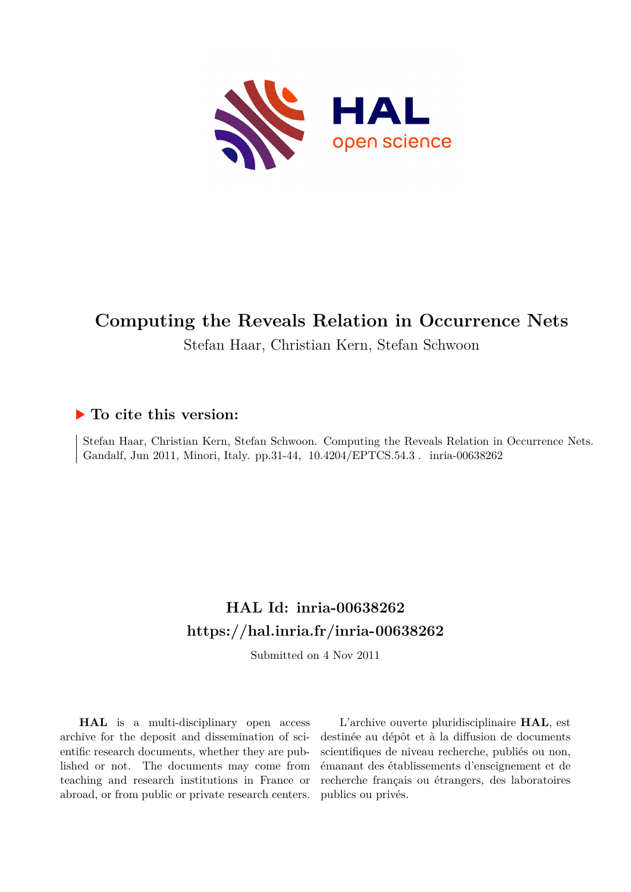

# **Computing the Reveals Relation in Occurrence Nets**

## Stefan Haar, Christian Kern, Stefan Schwoon

## **To cite this version:**

Stefan Haar, Christian Kern, Stefan Schwoon. Computing the Reveals Relation in Occurrence Nets. Gandalf, Jun 2011, Minori, Italy. pp.31-44, 10.4204/EPTCS.54.3. inria-00638262

## **HAL Id: inria-00638262 <https://hal.inria.fr/inria-00638262>**

Submitted on 4 Nov 2011

**HAL** is a multi-disciplinary open access archive for the deposit and dissemination of scientific research documents, whether they are published or not. The documents may come from teaching and research institutions in France or abroad, or from public or private research centers.

L'archive ouverte pluridisciplinaire **HAL**, est destinée au dépôt et à la diffusion de documents scientifiques de niveau recherche, publiés ou non, émanant des établissements d'enseignement et de recherche français ou étrangers, des laboratoires publics ou privés.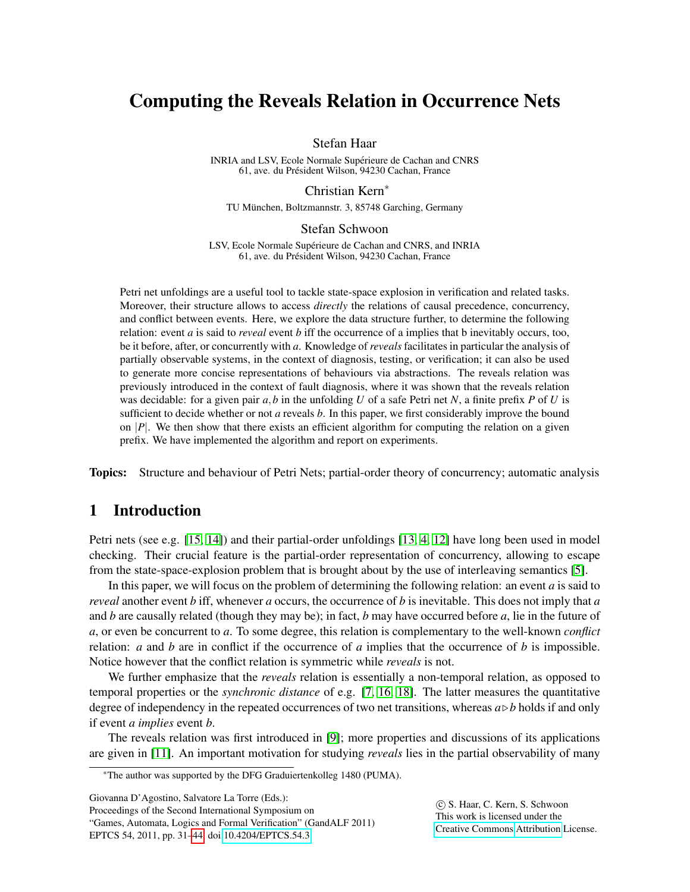## Computing the Reveals Relation in Occurrence Nets

Stefan Haar

INRIA and LSV, Ecole Normale Supérieure de Cachan and CNRS 61, ave. du Président Wilson, 94230 Cachan, France

Christian Kern<sup>∗</sup>

TU München, Boltzmannstr. 3, 85748 Garching, Germany

#### Stefan Schwoon

LSV, Ecole Normale Supérieure de Cachan and CNRS, and INRIA 61, ave. du President Wilson, 94230 Cachan, France ´

Petri net unfoldings are a useful tool to tackle state-space explosion in verification and related tasks. Moreover, their structure allows to access *directly* the relations of causal precedence, concurrency, and conflict between events. Here, we explore the data structure further, to determine the following relation: event *a* is said to *reveal* event *b* iff the occurrence of a implies that b inevitably occurs, too, be it before, after, or concurrently with *a*. Knowledge of *reveals* facilitates in particular the analysis of partially observable systems, in the context of diagnosis, testing, or verification; it can also be used to generate more concise representations of behaviours via abstractions. The reveals relation was previously introduced in the context of fault diagnosis, where it was shown that the reveals relation was decidable: for a given pair *a*,*b* in the unfolding *U* of a safe Petri net *N*, a finite prefix *P* of *U* is sufficient to decide whether or not *a* reveals *b*. In this paper, we first considerably improve the bound on |*P*|. We then show that there exists an efficient algorithm for computing the relation on a given prefix. We have implemented the algorithm and report on experiments.

Topics: Structure and behaviour of Petri Nets; partial-order theory of concurrency; automatic analysis

## 1 Introduction

Petri nets (see e.g. [\[15,](#page-14-1) [14\]](#page-14-2)) and their partial-order unfoldings [\[13,](#page-14-3) [4,](#page-14-4) [12\]](#page-14-5) have long been used in model checking. Their crucial feature is the partial-order representation of concurrency, allowing to escape from the state-space-explosion problem that is brought about by the use of interleaving semantics [\[5\]](#page-14-6).

In this paper, we will focus on the problem of determining the following relation: an event *a* is said to *reveal* another event *b* iff, whenever *a* occurs, the occurrence of *b* is inevitable. This does not imply that *a* and *b* are causally related (though they may be); in fact, *b* may have occurred before *a*, lie in the future of *a*, or even be concurrent to *a*. To some degree, this relation is complementary to the well-known *conflict* relation: *a* and *b* are in conflict if the occurrence of *a* implies that the occurrence of *b* is impossible. Notice however that the conflict relation is symmetric while *reveals* is not.

We further emphasize that the *reveals* relation is essentially a non-temporal relation, as opposed to temporal properties or the *synchronic distance* of e.g. [\[7,](#page-14-7) [16,](#page-14-8) [18\]](#page-14-9). The latter measures the quantitative degree of independency in the repeated occurrences of two net transitions, whereas  $a \triangleright b$  holds if and only if event *a implies* event *b*.

The reveals relation was first introduced in [\[9\]](#page-14-10); more properties and discussions of its applications are given in [\[11\]](#page-14-11). An important motivation for studying *reveals* lies in the partial observability of many

Proceedings of the Second International Symposium on "Games, Automata, Logics and Formal Verification" (GandALF 2011) EPTCS 54, 2011, pp. 31[–44,](#page-14-0) doi[:10.4204/EPTCS.54.3](http://dx.doi.org/10.4204/EPTCS.54.3)

 c S. Haar, C. Kern, S. Schwoon This work is licensed under the [Creative Commons](http://creativecommons.org) [Attribution](http://creativecommons.org/licenses/by/3.0/) License.

<sup>∗</sup>The author was supported by the DFG Graduiertenkolleg 1480 (PUMA).

Giovanna D'Agostino, Salvatore La Torre (Eds.):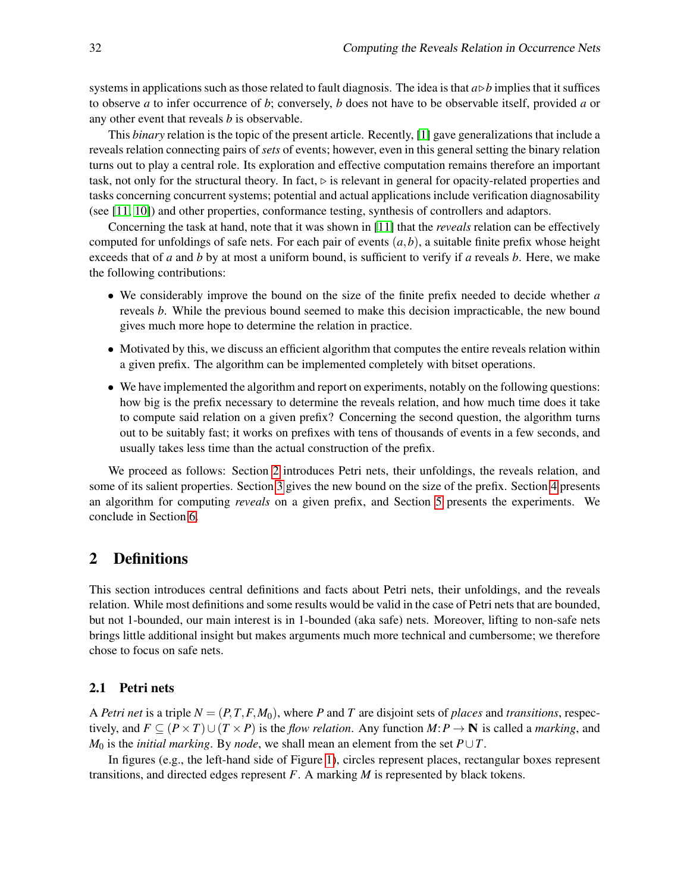systems in applications such as those related to fault diagnosis. The idea is that  $a \triangleright b$  implies that it suffices to observe *a* to infer occurrence of *b*; conversely, *b* does not have to be observable itself, provided *a* or any other event that reveals *b* is observable.

This *binary* relation is the topic of the present article. Recently, [\[1\]](#page-14-12) gave generalizations that include a reveals relation connecting pairs of *sets* of events; however, even in this general setting the binary relation turns out to play a central role. Its exploration and effective computation remains therefore an important task, not only for the structural theory. In fact,  $\triangleright$  is relevant in general for opacity-related properties and tasks concerning concurrent systems; potential and actual applications include verification diagnosability (see [\[11,](#page-14-11) [10\]](#page-14-13)) and other properties, conformance testing, synthesis of controllers and adaptors.

Concerning the task at hand, note that it was shown in [\[11\]](#page-14-11) that the *reveals* relation can be effectively computed for unfoldings of safe nets. For each pair of events  $(a, b)$ , a suitable finite prefix whose height exceeds that of *a* and *b* by at most a uniform bound, is sufficient to verify if *a* reveals *b*. Here, we make the following contributions:

- We considerably improve the bound on the size of the finite prefix needed to decide whether *a* reveals *b*. While the previous bound seemed to make this decision impracticable, the new bound gives much more hope to determine the relation in practice.
- Motivated by this, we discuss an efficient algorithm that computes the entire reveals relation within a given prefix. The algorithm can be implemented completely with bitset operations.
- We have implemented the algorithm and report on experiments, notably on the following questions: how big is the prefix necessary to determine the reveals relation, and how much time does it take to compute said relation on a given prefix? Concerning the second question, the algorithm turns out to be suitably fast; it works on prefixes with tens of thousands of events in a few seconds, and usually takes less time than the actual construction of the prefix.

We proceed as follows: Section [2](#page-2-0) introduces Petri nets, their unfoldings, the reveals relation, and some of its salient properties. Section [3](#page-7-0) gives the new bound on the size of the prefix. Section [4](#page-10-0) presents an algorithm for computing *reveals* on a given prefix, and Section [5](#page-12-0) presents the experiments. We conclude in Section [6.](#page-13-0)

## <span id="page-2-0"></span>2 Definitions

This section introduces central definitions and facts about Petri nets, their unfoldings, and the reveals relation. While most definitions and some results would be valid in the case of Petri nets that are bounded, but not 1-bounded, our main interest is in 1-bounded (aka safe) nets. Moreover, lifting to non-safe nets brings little additional insight but makes arguments much more technical and cumbersome; we therefore chose to focus on safe nets.

#### 2.1 Petri nets

A *Petri net* is a triple  $N = (P, T, F, M_0)$ , where P and T are disjoint sets of *places* and *transitions*, respectively, and  $F \subseteq (P \times T) \cup (T \times P)$  is the *flow relation*. Any function  $M: P \to \mathbb{N}$  is called a *marking*, and *M*<sup>0</sup> is the *initial marking*. By *node*, we shall mean an element from the set  $P \cup T$ .

In figures (e.g., the left-hand side of Figure [1\)](#page-4-0), circles represent places, rectangular boxes represent transitions, and directed edges represent *F*. A marking *M* is represented by black tokens.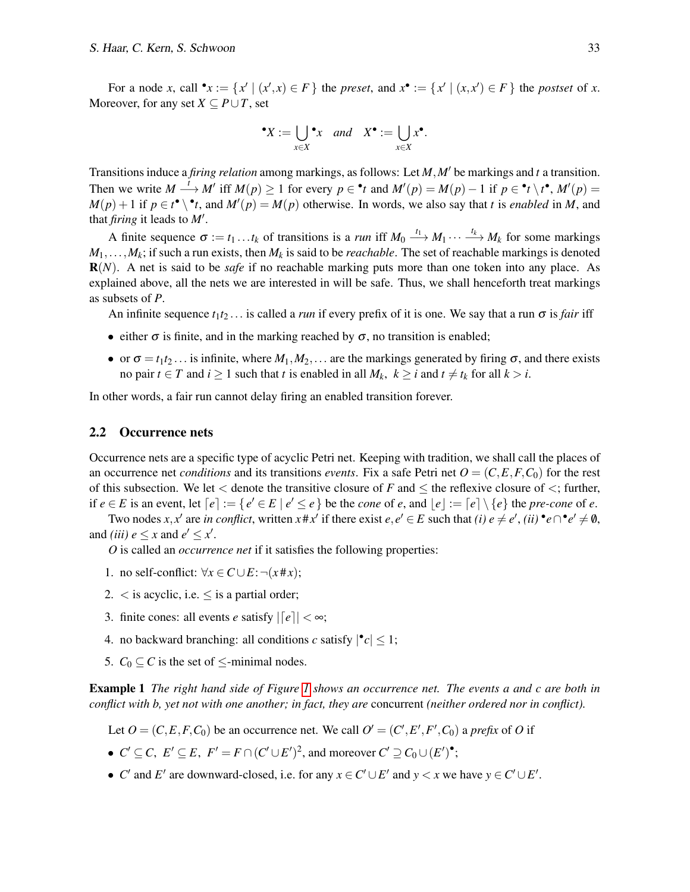#### *S. Haar, C. Kern, S. Schwoon* 33

For a node *x*, call  $\mathbf{v} := \{x' \mid (x',x) \in F\}$  the *preset*, and  $x\mathbf{v} := \{x' \mid (x,x') \in F\}$  the *postset* of *x*. Moreover, for any set  $X \subseteq P \cup T$ , set

$$
\bullet X := \bigcup_{x \in X} \bullet_x \quad and \quad X^{\bullet} := \bigcup_{x \in X} x^{\bullet}.
$$

Transitions induce a *firing relation* among markings, as follows: Let *M*,*M*′ be markings and *t* a transition. Then we write  $M \xrightarrow{t} M'$  iff  $M(p) \ge 1$  for every  $p \in \text{A}^*$  and  $M'(p) = M(p) - 1$  if  $p \in \text{A}^* \setminus t^{\bullet}, M'(p) =$  $M(p) + 1$  if  $p \in t^{\bullet} \setminus t$ , and  $M'(p) = M(p)$  otherwise. In words, we also say that *t* is *enabled* in *M*, and that *firing* it leads to *M*′ .

A finite sequence  $\sigma := t_1 \dots t_k$  of transitions is a *run* iff  $M_0 \xrightarrow{t_1} M_1 \cdots \xrightarrow{t_k} M_k$  for some markings  $M_1, \ldots, M_k$ ; if such a run exists, then  $M_k$  is said to be *reachable*. The set of reachable markings is denoted R(*N*). A net is said to be *safe* if no reachable marking puts more than one token into any place. As explained above, all the nets we are interested in will be safe. Thus, we shall henceforth treat markings as subsets of *P*.

An infinite sequence  $t_1t_2...$  is called a *run* if every prefix of it is one. We say that a run  $\sigma$  is *fair* iff

- either  $\sigma$  is finite, and in the marking reached by  $\sigma$ , no transition is enabled;
- or  $\sigma = t_1 t_2 \dots$  is infinite, where  $M_1, M_2, \dots$  are the markings generated by firing  $\sigma$ , and there exists no pair  $t \in T$  and  $i \ge 1$  such that *t* is enabled in all  $M_k$ ,  $k \ge i$  and  $t \ne t_k$  for all  $k > i$ .

In other words, a fair run cannot delay firing an enabled transition forever.

#### 2.2 Occurrence nets

Occurrence nets are a specific type of acyclic Petri net. Keeping with tradition, we shall call the places of an occurrence net *conditions* and its transitions *events*. Fix a safe Petri net  $O = (C, E, F, C_0)$  for the rest of this subsection. We let  $\lt$  denote the transitive closure of *F* and  $\lt$  the reflexive closure of  $\lt$ ; further, if  $e \in E$  is an event, let  $[e] := \{e' \in E \mid e' \le e\}$  be the *cone* of *e*, and  $\lfloor e \rfloor := \lceil e \rceil \setminus \{e\}$  the *pre-cone* of *e*.

Two nodes *x*, *x*<sup>*'*</sup> are *in conflict*, written *x*#*x'* if there exist  $e, e' \in E$  such that *(i)*  $e \neq e'$ , *(ii)*  $\bullet e \cap \bullet e' \neq \emptyset$ , and *(iii)*  $e \leq x$  and  $e' \leq x'$ .

*O* is called an *occurrence net* if it satisfies the following properties:

- 1. no self-conflict:  $\forall x \in C \cup E$ : ¬( $x \# x$ );
- 2.  $\lt$  is acyclic, i.e.  $\leq$  is a partial order;
- 3. finite cones: all events *e* satisfy  $\vert [e] \vert < \infty$ ;
- 4. no backward branching: all conditions *c* satisfy  $|\cdot c| \leq 1$ ;
- 5.  $C_0 \subseteq C$  is the set of  $\le$ -minimal nodes.

Example 1 *The right hand side of Figure [1](#page-4-0) shows an occurrence net. The events a and c are both in conflict with b, yet not with one another; in fact, they are* concurrent *(neither ordered nor in conflict).*

- Let  $O = (C, E, F, C_0)$  be an occurrence net. We call  $O' = (C', E', F', C_0)$  a *prefix* of *O* if
- $C' \subseteq C$ ,  $E' \subseteq E$ ,  $F' = F \cap (C' \cup E')^2$ , and moreover  $C' \supseteq C_0 \cup (E')^{\bullet}$ ;
- *C'* and *E'* are downward-closed, i.e. for any  $x \in C' \cup E'$  and  $y \lt x$  we have  $y \in C' \cup E'$ .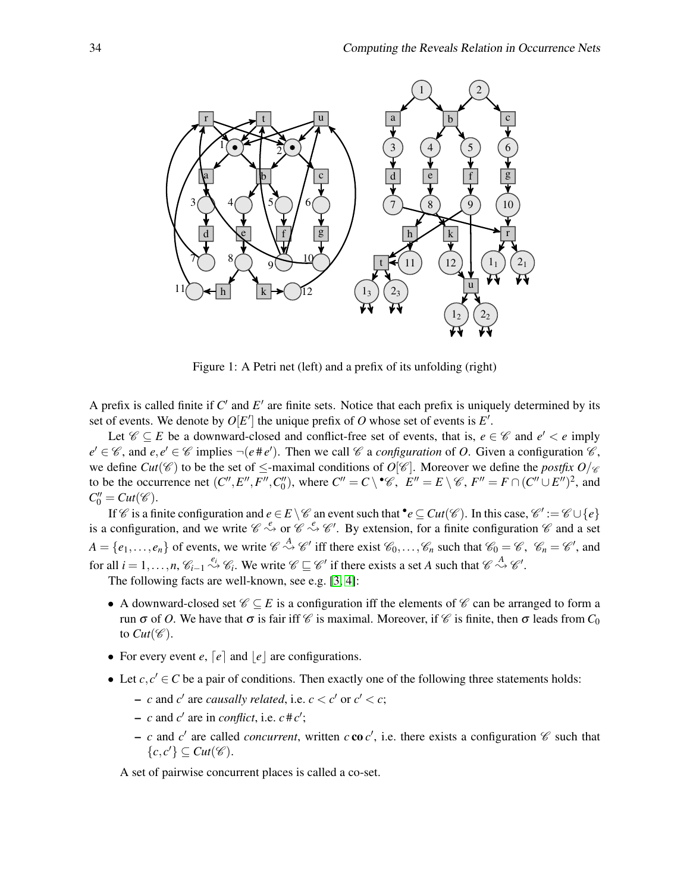

<span id="page-4-0"></span>Figure 1: A Petri net (left) and a prefix of its unfolding (right)

A prefix is called finite if  $C'$  and  $E'$  are finite sets. Notice that each prefix is uniquely determined by its set of events. We denote by  $O[E']$  the unique prefix of  $O$  whose set of events is  $E'$ .

Let  $\mathscr{C} \subseteq E$  be a downward-closed and conflict-free set of events, that is,  $e \in \mathscr{C}$  and  $e' < e$  imply  $e' \in \mathcal{C}$ , and  $e, e' \in \mathcal{C}$  implies  $\neg(e \# e')$ . Then we call  $\mathcal{C}$  a *configuration* of *O*. Given a configuration  $\mathcal{C}$ , we define *Cut*( $\mathscr{C}$ ) to be the set of  $\leq$ -maximal conditions of  $O[\mathscr{C}]$ . Moreover we define the *postfix*  $O/\mathscr{C}$ to be the occurrence net  $(C'', E'', F'', C_0'')$ , where  $C'' = C \setminus C$ ,  $E'' = E \setminus C$ ,  $F'' = F \cap (C'' \cup E'')^2$ , and  $C_0'' = Cut(\mathscr{C})$ .

If C is a finite configuration and  $e \in E \setminus C$  an event such that  $\bullet e \subseteq Cut(C)$ . In this case,  $C' := C \cup \{e\}$ is a configuration, and we write  $\mathcal{C} \stackrel{e}{\leadsto}$  or  $\mathcal{C} \stackrel{e}{\leadsto} \mathcal{C}'$ . By extension, for a finite configuration  $\mathcal{C}$  and a set  $A = \{e_1, \ldots, e_n\}$  of events, we write  $\mathcal{C} \stackrel{A}{\leadsto} \mathcal{C}'$  iff there exist  $\mathcal{C}_0, \ldots, \mathcal{C}_n$  such that  $\mathcal{C}_0 = \mathcal{C}$ ,  $\mathcal{C}_n = \mathcal{C}'$ , and for all  $i = 1, ..., n$ ,  $\mathcal{C}_{i-1} \stackrel{e_i}{\leadsto} \mathcal{C}_i$ . We write  $\mathcal{C} \sqsubseteq \mathcal{C}'$  if there exists a set *A* such that  $\mathcal{C} \stackrel{A}{\leadsto} \mathcal{C}'$ .

The following facts are well-known, see e.g. [\[3,](#page-14-14) [4\]](#page-14-4):

- A downward-closed set  $\mathcal{C} \subseteq E$  is a configuration iff the elements of  $\mathcal{C}$  can be arranged to form a run  $\sigma$  of *O*. We have that  $\sigma$  is fair iff  $\mathcal C$  is maximal. Moreover, if  $\mathcal C$  is finite, then  $\sigma$  leads from  $C_0$ to  $Cut(\mathscr{C})$ .
- For every event  $e$ ,  $\lceil e \rceil$  and  $\lceil e \rceil$  are configurations.
- Let  $c, c' \in C$  be a pair of conditions. Then exactly one of the following three statements holds:
	- $-c$  and  $c'$  are *causally related*, i.e.  $c < c'$  or  $c' < c$ ;
	- $-c$  and *c*' are in *conflict*, i.e.  $c \# c'$ ;
	- $-c$  and *c*<sup>'</sup> are called *concurrent*, written *c* co *c*<sup>'</sup>, i.e. there exists a configuration  $\mathscr C$  such that  $\{c, c'\} \subseteq Cut(\mathscr{C}).$

A set of pairwise concurrent places is called a co-set.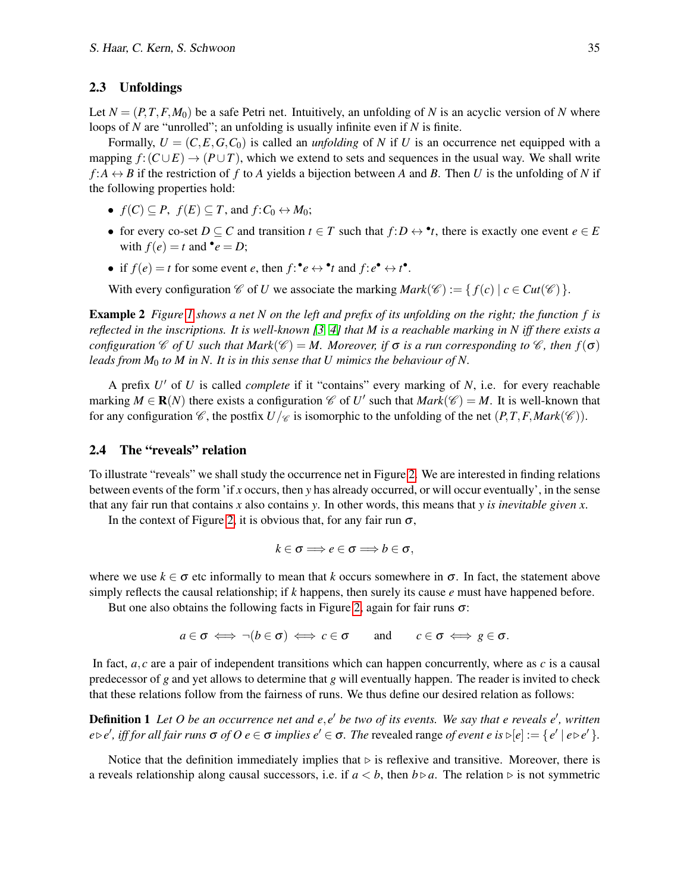#### 2.3 Unfoldings

Let  $N = (P, T, F, M_0)$  be a safe Petri net. Intuitively, an unfolding of N is an acyclic version of N where loops of *N* are "unrolled"; an unfolding is usually infinite even if *N* is finite.

Formally,  $U = (C, E, G, C_0)$  is called an *unfolding* of N if U is an occurrence net equipped with a mapping  $f: (C \cup E) \rightarrow (P \cup T)$ , which we extend to sets and sequences in the usual way. We shall write  $f: A \leftrightarrow B$  if the restriction of f to *A* yields a bijection between *A* and *B*. Then *U* is the unfolding of *N* if the following properties hold:

- $f(C) \subseteq P$ ,  $f(E) \subseteq T$ , and  $f: C_0 \leftrightarrow M_0$ ;
- for every co-set  $D \subseteq C$  and transition  $t \in T$  such that  $f: D \leftrightarrow \bullet t$ , there is exactly one event  $e \in E$ with  $f(e) = t$  and  $\bullet e = D$ ;
- if  $f(e) = t$  for some event *e*, then  $f: e \leftrightarrow e^*$  and  $f: e^* \leftrightarrow e^*$ .

With every configuration  $\mathscr C$  of *U* we associate the marking  $Mark(\mathscr C) := \{ f(c) | c \in Cut(\mathscr C) \}.$ 

Example 2 *Figure [1](#page-4-0) shows a net N on the left and prefix of its unfolding on the right; the function f is reflected in the inscriptions. It is well-known [\[3,](#page-14-14) [4\]](#page-14-4) that M is a reachable marking in N iff there exists a configuration*  $\mathscr C$  *of U such that Mark*( $\mathscr C$ ) = *M. Moreover, if*  $\sigma$  *is a run corresponding to*  $\mathscr C$ *, then*  $f(\sigma)$ *leads from M*<sup>0</sup> *to M in N. It is in this sense that U mimics the behaviour of N.*

A prefix *U* ′ of *U* is called *complete* if it "contains" every marking of *N*, i.e. for every reachable marking  $M \in \mathbf{R}(N)$  there exists a configuration  $\mathscr{C}$  of  $U'$  such that  $Mark(\mathscr{C}) = M$ . It is well-known that for any configuration  $\mathcal{C}$ , the postfix  $U/\mathcal{C}$  is isomorphic to the unfolding of the net  $(P, T, F, Mark(\mathcal{C}))$ .

#### 2.4 The "reveals" relation

To illustrate "reveals" we shall study the occurrence net in Figure [2.](#page-6-0) We are interested in finding relations between events of the form 'if *x* occurs, then *y* has already occurred, or will occur eventually', in the sense that any fair run that contains *x* also contains *y*. In other words, this means that *y is inevitable given x*.

In the context of Figure [2,](#page-6-0) it is obvious that, for any fair run  $\sigma$ ,

$$
k\in\sigma\Longrightarrow e\in\sigma\Longrightarrow b\in\sigma,
$$

where we use  $k \in \sigma$  etc informally to mean that k occurs somewhere in  $\sigma$ . In fact, the statement above simply reflects the causal relationship; if *k* happens, then surely its cause *e* must have happened before.

But one also obtains the following facts in Figure [2,](#page-6-0) again for fair runs  $\sigma$ :

 $a \in \sigma \iff \neg(b \in \sigma) \iff c \in \sigma$  and  $c \in \sigma \iff g \in \sigma$ .

In fact,  $a, c$  are a pair of independent transitions which can happen concurrently, where as  $c$  is a causal predecessor of *g* and yet allows to determine that *g* will eventually happen. The reader is invited to check that these relations follow from the fairness of runs. We thus define our desired relation as follows:

**Definition 1** Let O be an occurrence net and e, e' be two of its events. We say that e reveals e', written  $e \triangleright e'$ , *iff for all fair runs*  $\sigma$  *of*  $0$   $e \in \sigma$  *implies*  $e' \in \sigma$ *. The revealed range of event e is*  $\triangleright [e] := \{ e' \mid e \triangleright e' \}$ *.* 

Notice that the definition immediately implies that  $\triangleright$  is reflexive and transitive. Moreover, there is a reveals relationship along causal successors, i.e. if  $a < b$ , then  $b \triangleright a$ . The relation  $\triangleright$  is not symmetric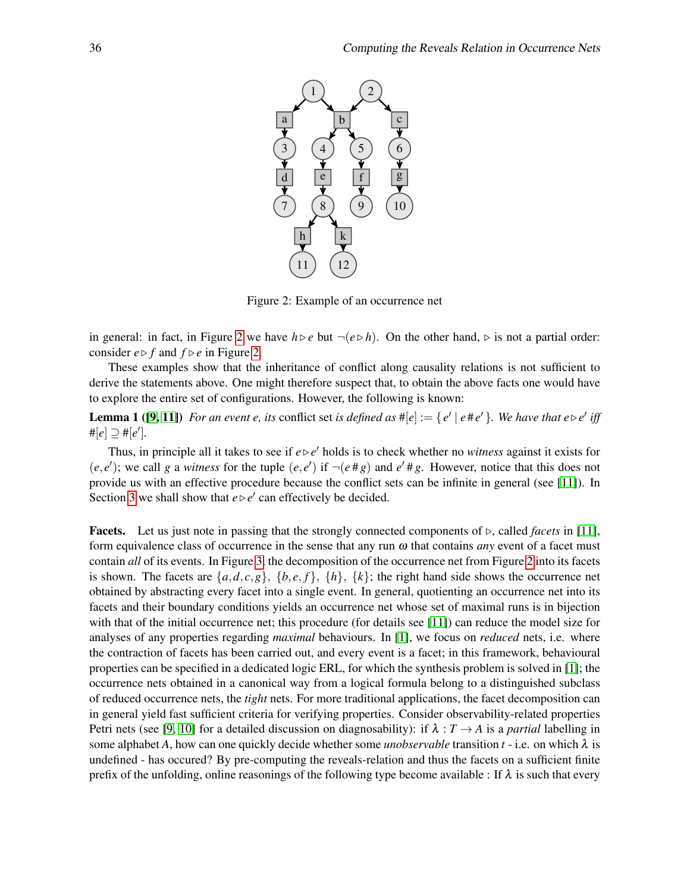

<span id="page-6-1"></span><span id="page-6-0"></span>Figure 2: Example of an occurrence net

in general: in fact, in Figure [2](#page-6-0) we have  $h$  ⊳ *e* but  $\neg(e \triangleright h)$ . On the other hand,  $\triangleright$  is not a partial order: consider  $e \triangleright f$  and  $f \triangleright e$  in Figure [2.](#page-6-0)

These examples show that the inheritance of conflict along causality relations is not sufficient to derive the statements above. One might therefore suspect that, to obtain the above facts one would have to explore the entire set of configurations. However, the following is known:

**Lemma 1** ([\[9,](#page-14-10) [11\]](#page-14-11)) For an event e, its conflict set is defined as  $\#[e] := \{e' \mid e \# e'\}$ . We have that  $e \triangleright e'$  iff  $# [e] ⊇ # [e'].$ 

Thus, in principle all it takes to see if  $e \triangleright e'$  holds is to check whether no *witness* against it exists for  $(e, e')$ ; we call *g* a *witness* for the tuple  $(e, e')$  if  $\neg(e \# g)$  and  $e' \# g$ . However, notice that this does not provide us with an effective procedure because the conflict sets can be infinite in general (see [\[11\]](#page-14-11)). In Section [3](#page-7-0) we shall show that  $e \triangleright e'$  can effectively be decided.

Facets. Let us just note in passing that the strongly connected components of ⊲, called *facets* in [\[11\]](#page-14-11), form equivalence class of occurrence in the sense that any run ω that contains *any* event of a facet must contain *all* of its events. In Figure [3,](#page-7-1) the decomposition of the occurrence net from Figure [2](#page-6-0) into its facets is shown. The facets are  $\{a, d, c, g\}$ ,  $\{b, e, f\}$ ,  $\{h\}$ ,  $\{k\}$ ; the right hand side shows the occurrence net obtained by abstracting every facet into a single event. In general, quotienting an occurrence net into its facets and their boundary conditions yields an occurrence net whose set of maximal runs is in bijection with that of the initial occurrence net; this procedure (for details see [\[11\]](#page-14-11)) can reduce the model size for analyses of any properties regarding *maximal* behaviours. In [\[1\]](#page-14-12), we focus on *reduced* nets, i.e. where the contraction of facets has been carried out, and every event is a facet; in this framework, behavioural properties can be specified in a dedicated logic ERL, for which the synthesis problem is solved in [\[1\]](#page-14-12); the occurrence nets obtained in a canonical way from a logical formula belong to a distinguished subclass of reduced occurrence nets, the *tight* nets. For more traditional applications, the facet decomposition can in general yield fast sufficient criteria for verifying properties. Consider observability-related properties Petri nets (see [\[9,](#page-14-10) [10\]](#page-14-13) for a detailed discussion on diagnosability): if  $\lambda : T \to A$  is a *partial* labelling in some alphabet *A*, how can one quickly decide whether some *unobservable* transition  $t - i.e.$  on which  $\lambda$  is undefined - has occured? By pre-computing the reveals-relation and thus the facets on a sufficient finite prefix of the unfolding, online reasonings of the following type become available : If  $\lambda$  is such that every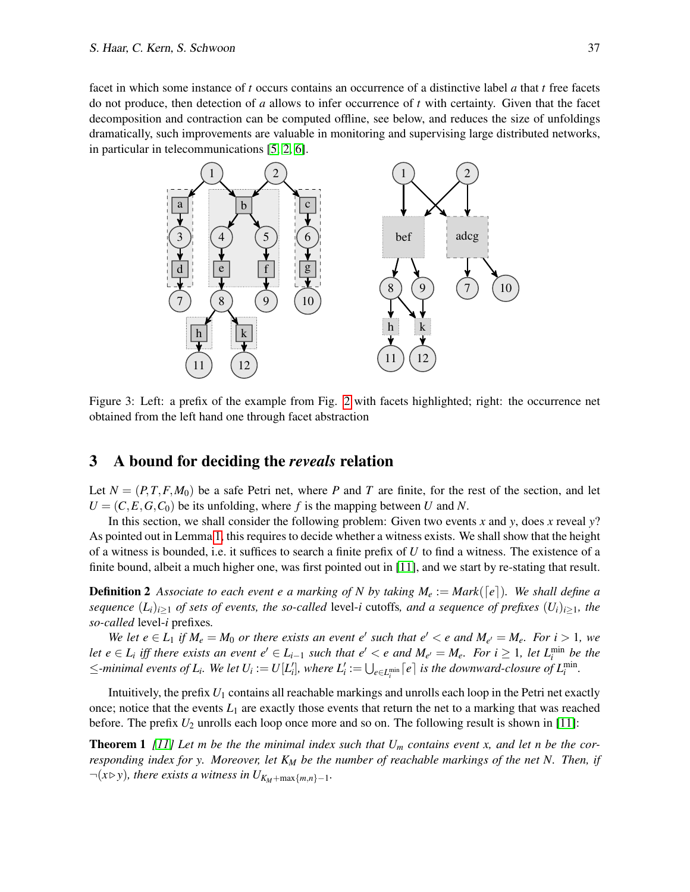facet in which some instance of *t* occurs contains an occurrence of a distinctive label *a* that *t* free facets do not produce, then detection of *a* allows to infer occurrence of *t* with certainty. Given that the facet decomposition and contraction can be computed offline, see below, and reduces the size of unfoldings dramatically, such improvements are valuable in monitoring and supervising large distributed networks, in particular in telecommunications [\[5,](#page-14-6) [2,](#page-14-15) [6\]](#page-14-16).

<span id="page-7-1"></span>

Figure 3: Left: a prefix of the example from Fig. [2](#page-6-0) with facets highlighted; right: the occurrence net obtained from the left hand one through facet abstraction

## <span id="page-7-0"></span>3 A bound for deciding the *reveals* relation

Let  $N = (P, T, F, M_0)$  be a safe Petri net, where P and T are finite, for the rest of the section, and let  $U = (C, E, G, C_0)$  be its unfolding, where f is the mapping between U and N.

In this section, we shall consider the following problem: Given two events *x* and *y*, does *x* reveal *y*? As pointed out in Lemma [1,](#page-6-1) this requires to decide whether a witness exists. We shall show that the height of a witness is bounded, i.e. it suffices to search a finite prefix of *U* to find a witness. The existence of a finite bound, albeit a much higher one, was first pointed out in [\[11\]](#page-14-11), and we start by re-stating that result.

<span id="page-7-3"></span>**Definition 2** Associate to each event e a marking of N by taking  $M_e := Mark([\epsilon])$ . We shall define a *sequence*  $(L_i)_{i\geq 1}$  *of sets of events, the so-called* level-*i* cutoffs*, and a sequence of prefixes*  $(U_i)_{i\geq 1}$ *, the so-called* level-*i* prefixes*.*

*We let*  $e \in L_1$  *if*  $M_e = M_0$  *or there exists an event e' such that e'*  $\lt e$  *and*  $M_{e'} = M_e$ *. For i*  $> 1$ *, we let*  $e \in L_i$  *iff there exists an event*  $e' \in L_{i-1}$  *such that*  $e' < e$  *and*  $M_{e'} = M_e$ *. For*  $i ≥ 1$ *, let*  $L_i^{\min}$  *be the*  $\le$ -minimal events of  $L_i$ . We let  $U_i := U[L'_i]$ , where  $L'_i := \bigcup_{e \in L_i^{\min}} \lceil e \rceil$  is the downward-closure of  $L_i^{\min}$ .

<span id="page-7-2"></span>Intuitively, the prefix *U*<sup>1</sup> contains all reachable markings and unrolls each loop in the Petri net exactly once; notice that the events  $L_1$  are exactly those events that return the net to a marking that was reached before. The prefix  $U_2$  unrolls each loop once more and so on. The following result is shown in [\[11\]](#page-14-11):

**Theorem 1** [\[11\]](#page-14-11) Let m be the the minimal index such that  $U_m$  contains event x, and let n be the cor*responding index for y. Moreover, let K<sup>M</sup> be the number of reachable markings of the net N. Then, if*  $\neg(x \triangleright y)$ , there exists a witness in  $U_{K_M+\max\{m,n\}-1}$ .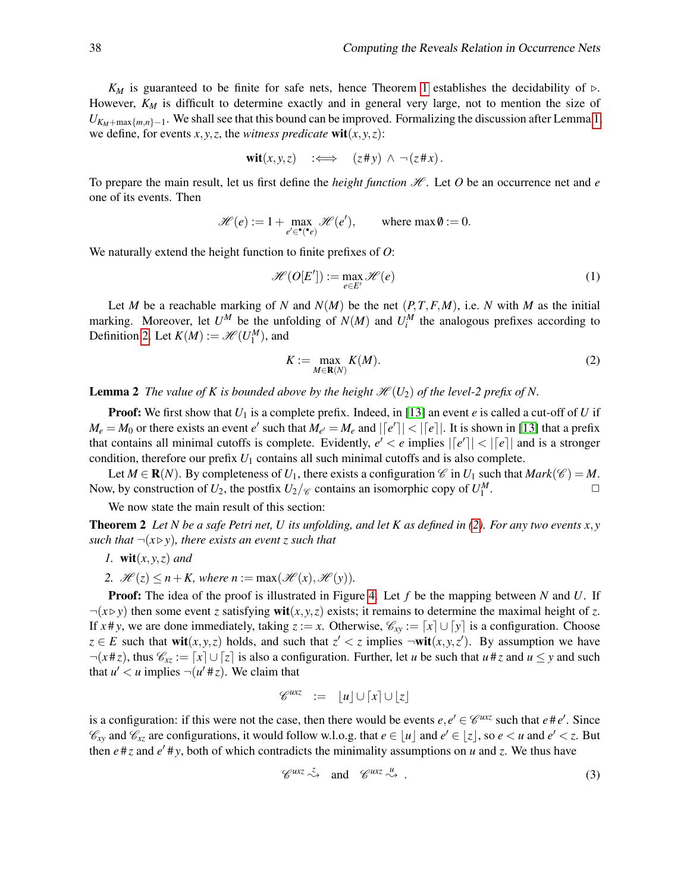$K_M$  is guaranteed to be finite for safe nets, hence Theorem [1](#page-7-2) establishes the decidability of  $\triangleright$ . However,  $K_M$  is difficult to determine exactly and in general very large, not to mention the size of  $U_{K_M+\max\{m,n\}-1}$ . We shall see that this bound can be improved. Formalizing the discussion after Lemma [1,](#page-6-1) we define, for events  $x, y, z$ , the *witness predicate* wit $(x, y, z)$ :

$$
\textbf{wit}(x, y, z) \quad : \Longleftrightarrow \quad (z \# y) \ \land \ \neg (z \# x).
$$

To prepare the main result, let us first define the *height function*  $H$ . Let O be an occurrence net and  $e$ one of its events. Then

$$
\mathcal{H}(e) := 1 + \max_{e' \in \P(\bullet e)} \mathcal{H}(e'), \quad \text{where } \max \emptyset := 0.
$$

We naturally extend the height function to finite prefixes of *O*:

$$
\mathcal{H}(O[E']) := \max_{e \in E'} \mathcal{H}(e) \tag{1}
$$

Let *M* be a reachable marking of *N* and  $N(M)$  be the net  $(P, T, F, M)$ , i.e. *N* with *M* as the initial marking. Moreover, let  $U^M$  be the unfolding of  $N(M)$  and  $U_i^M$  the analogous prefixes according to Definition [2.](#page-7-3) Let  $K(M) := \mathcal{H}(U_1^M)$ , and

<span id="page-8-1"></span><span id="page-8-0"></span>
$$
K := \max_{M \in \mathbf{R}(N)} K(M). \tag{2}
$$

<span id="page-8-3"></span>**Lemma 2** *The value of K is bounded above by the height*  $\mathcal{H}(U_2)$  *of the level-2 prefix of N.* 

**Proof:** We first show that  $U_1$  is a complete prefix. Indeed, in [\[13\]](#page-14-3) an event *e* is called a cut-off of *U* if  $M_e = M_0$  or there exists an event *e'* such that  $M_{e'} = M_e$  and  $| [e' ] | < | [e] |$ . It is shown in [\[13\]](#page-14-3) that a prefix that contains all minimal cutoffs is complete. Evidently,  $e' < e$  implies  $| [e'] | < | [e] |$  and is a stronger condition, therefore our prefix *U*<sup>1</sup> contains all such minimal cutoffs and is also complete.

Let  $M \in \mathbf{R}(N)$ . By completeness of  $U_1$ , there exists a configuration  $\mathscr{C}$  in  $U_1$  such that  $Mark(\mathscr{C}) = M$ . Now, by construction of  $U_2$ , the postfix  $U_2/\mathcal{C}$  contains an isomorphic copy of  $U_1^M$ . The set of  $\Box$ 

We now state the main result of this section:

**Theorem 2** Let N be a safe Petri net, U its unfolding, and let K as defined in [\(2\)](#page-8-0). For any two events  $x, y$ *such that*  $\neg(x \triangleright y)$ *, there exists an event z such that* 

- *1.* wit(*x*, *y*,*z*) *and*
- 2.  $\mathcal{H}(z) \leq n + K$ , where  $n := \max(\mathcal{H}(x), \mathcal{H}(y))$ .

Proof: The idea of the proof is illustrated in Figure [4.](#page-9-0) Let *f* be the mapping between *N* and *U*. If  $\neg(x \triangleright y)$  then some event *z* satisfying wit $(x, y, z)$  exists; it remains to determine the maximal height of *z*. If  $x \# y$ , we are done immediately, taking  $z := x$ . Otherwise,  $\mathcal{C}_{xy} := [x] \cup [y]$  is a configuration. Choose  $z \in E$  such that wit $(x, y, z)$  holds, and such that  $z' < z$  implies  $\neg$ wit $(x, y, z')$ . By assumption we have  $\neg(x \# z)$ , thus  $\mathscr{C}_{xz} := [x] \cup [z]$  is also a configuration. Further, let *u* be such that  $u \# z$  and  $u \leq y$  and such that  $u' < u$  implies  $\neg(u' \# z)$ . We claim that

$$
\mathscr{C}^{uxz} \quad := \quad |u| \cup [x] \cup |z|
$$

is a configuration: if this were not the case, then there would be events  $e, e' \in \mathscr{C}^{uxz}$  such that  $e \neq e'$ . Since  $\mathscr{C}_{xy}$  and  $\mathscr{C}_{xz}$  are configurations, it would follow w.l.o.g. that  $e \in [u]$  and  $e' \in [z]$ , so  $e < u$  and  $e' < z$ . But then  $e \neq z$  and  $e' \neq y$ , both of which contradicts the minimality assumptions on *u* and *z*. We thus have

<span id="page-8-2"></span>
$$
\mathscr{C}^{uxz} \stackrel{z}{\rightsquigarrow} \text{ and } \mathscr{C}^{uxz} \stackrel{u}{\rightsquigarrow} . \tag{3}
$$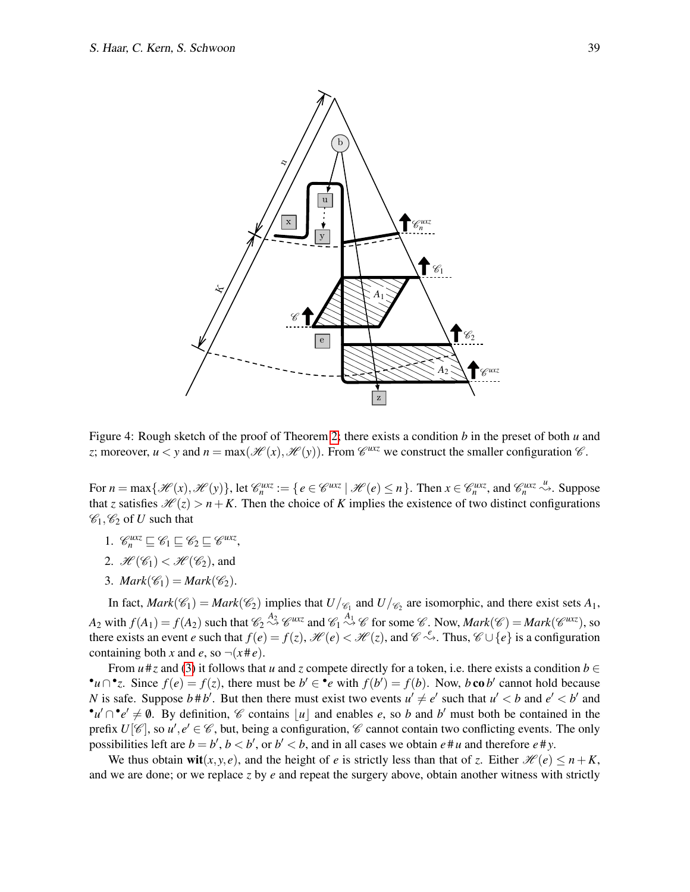

<span id="page-9-0"></span>Figure 4: Rough sketch of the proof of Theorem [2;](#page-8-1) there exists a condition *b* in the preset of both *u* and *z*; moreover,  $u < y$  and  $n = max(\mathcal{H}(x), \mathcal{H}(y))$ . From  $\mathcal{C}^{uxz}$  we construct the smaller configuration  $\mathcal{C}$ .

For  $n = \max\{\mathcal{H}(x), \mathcal{H}(y)\}\$ , let  $\mathcal{C}_n^{uxz} := \{e \in \mathcal{C}^{uxz} \mid \mathcal{H}(e) \leq n\}\$ . Then  $x \in \mathcal{C}_n^{uxz}$ , and  $\mathcal{C}_n^{uxz} \stackrel{u}{\leadsto}$ . Suppose that *z* satisfies  $\mathcal{H}(z) > n + K$ . Then the choice of *K* implies the existence of two distinct configurations  $\mathscr{C}_1, \mathscr{C}_2$  of *U* such that

- 1.  $\mathscr{C}_n^{\text{u}x} \subseteq \mathscr{C}_1 \subseteq \mathscr{C}_2 \subseteq \mathscr{C}^{\text{u}x}$
- 2.  $\mathcal{H}(\mathscr{C}_1) < \mathcal{H}(\mathscr{C}_2)$ , and
- 3. *Mark*( $\mathcal{C}_1$ ) = *Mark*( $\mathcal{C}_2$ ).

In fact,  $Mark(\mathcal{C}_1) = Mark(\mathcal{C}_2)$  implies that  $U/\mathcal{C}_1$  and  $U/\mathcal{C}_2$  are isomorphic, and there exist sets  $A_1$ , *A*<sub>2</sub> with  $f(A_1) = f(A_2)$  such that  $\mathcal{C}_2 \stackrel{A_2}{\rightsquigarrow} \mathcal{C}^{uxz}$  and  $\mathcal{C}_1 \stackrel{A_1}{\rightsquigarrow} \mathcal{C}$  for some  $\mathcal{C}$ . Now, *Mark*( $\mathcal{C}$ ) = *Mark*( $\mathcal{C}^{uxz}$ ), so there exists an event *e* such that  $f(e) = f(z)$ ,  $\mathcal{H}(e) < \mathcal{H}(z)$ , and  $\mathcal{C} \rightsquigarrow$ . Thus,  $\mathcal{C} \cup \{e\}$  is a configuration containing both *x* and *e*, so  $\neg(x \# e)$ .

From  $u \neq z$  and [\(3\)](#page-8-2) it follows that *u* and *z* compete directly for a token, i.e. there exists a condition  $b \in$ •*u* $\cap$ •*z*. Since  $f(e) = f(z)$ , there must be  $b' \in \text{•}e$  with  $f(b') = f(b)$ . Now, *b* co *b'* cannot hold because *N* is safe. Suppose  $b \# b'$ . But then there must exist two events  $u' \neq e'$  such that  $u' < b$  and  $e' < b'$  and  $\mathbf{e}^{\prime}u' \cap \mathbf{e}^{\prime} \neq \emptyset$ . By definition,  $\mathscr{C}$  contains |*u*| and enables *e*, so *b* and *b*' must both be contained in the prefix  $U[\mathscr{C}]$ , so  $u', e' \in \mathscr{C}$ , but, being a configuration,  $\mathscr{C}$  cannot contain two conflicting events. The only possibilities left are  $b = b'$ ,  $b < b'$ , or  $b' < b$ , and in all cases we obtain  $e \neq u$  and therefore  $e \neq y$ .

We thus obtain wit $(x, y, e)$ , and the height of *e* is strictly less than that of *z*. Either  $\mathcal{H}(e) \leq n + K$ , and we are done; or we replace *z* by *e* and repeat the surgery above, obtain another witness with strictly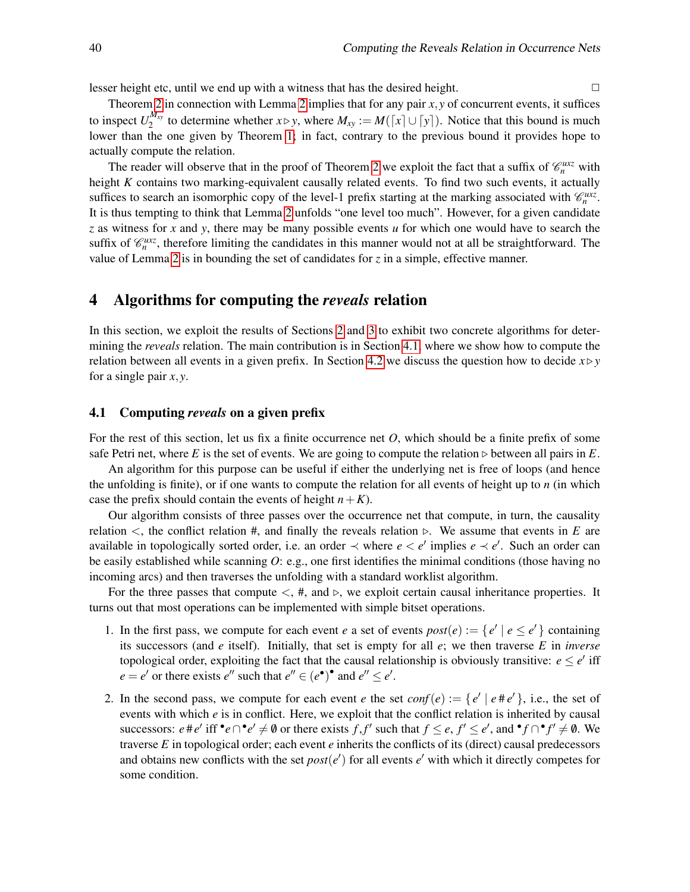lesser height etc, until we end up with a witness that has the desired height.  $\Box$ 

Theorem [2](#page-8-1) in connection with Lemma [2](#page-8-3) implies that for any pair *x*, *y* of concurrent events, it suffices to inspect  $U_2^{M_{xy}}$  $\sum_{2}^{M_{xy}}$  to determine whether *x* ⊳ *y*, where  $M_{xy} := M([x] \cup [y])$ . Notice that this bound is much lower than the one given by Theorem [1;](#page-7-2) in fact, contrary to the previous bound it provides hope to actually compute the relation.

The reader will observe that in the proof of Theorem [2](#page-8-1) we exploit the fact that a suffix of  $\mathcal{C}_n^{\mu\chi\chi}$  with height *K* contains two marking-equivalent causally related events. To find two such events, it actually suffices to search an isomorphic copy of the level-1 prefix starting at the marking associated with  $\mathcal{C}_n^{\mu\alpha z}$ . It is thus tempting to think that Lemma [2](#page-8-3) unfolds "one level too much". However, for a given candidate *z* as witness for *x* and *y*, there may be many possible events *u* for which one would have to search the suffix of  $\mathcal{C}_n^{\mu\chi}$ , therefore limiting the candidates in this manner would not at all be straightforward. The value of Lemma [2](#page-8-3) is in bounding the set of candidates for *z* in a simple, effective manner.

## <span id="page-10-0"></span>4 Algorithms for computing the *reveals* relation

In this section, we exploit the results of Sections [2](#page-2-0) and [3](#page-7-0) to exhibit two concrete algorithms for determining the *reveals* relation. The main contribution is in Section [4.1,](#page-10-1) where we show how to compute the relation between all events in a given prefix. In Section [4.2](#page-11-0) we discuss the question how to decide  $x \triangleright y$ for a single pair *x*, *y*.

#### <span id="page-10-1"></span>4.1 Computing *reveals* on a given prefix

For the rest of this section, let us fix a finite occurrence net *O*, which should be a finite prefix of some safe Petri net, where *E* is the set of events. We are going to compute the relation  $\triangleright$  between all pairs in *E*.

An algorithm for this purpose can be useful if either the underlying net is free of loops (and hence the unfolding is finite), or if one wants to compute the relation for all events of height up to *n* (in which case the prefix should contain the events of height  $n + K$ ).

Our algorithm consists of three passes over the occurrence net that compute, in turn, the causality relation <, the conflict relation  $#$ , and finally the reveals relation ⊳. We assume that events in *E* are available in topologically sorted order, i.e. an order  $\prec$  where  $e < e'$  implies  $e \prec e'$ . Such an order can be easily established while scanning *O*: e.g., one first identifies the minimal conditions (those having no incoming arcs) and then traverses the unfolding with a standard worklist algorithm.

For the three passes that compute  $\lt$ , #, and  $\triangleright$ , we exploit certain causal inheritance properties. It turns out that most operations can be implemented with simple bitset operations.

- 1. In the first pass, we compute for each event *e* a set of events  $post(e) := \{e' \mid e \le e'\}$  containing its successors (and *e* itself). Initially, that set is empty for all *e*; we then traverse *E* in *inverse* topological order, exploiting the fact that the causal relationship is obviously transitive:  $e \le e'$  iff  $e = e'$  or there exists  $e''$  such that  $e'' \in (e^{\bullet})^{\bullet}$  and  $e'' \le e'$ .
- 2. In the second pass, we compute for each event *e* the set  $conf(e) := \{e' \mid e \# e'\}$ , i.e., the set of events with which *e* is in conflict. Here, we exploit that the conflict relation is inherited by causal successors:  $e \neq e'$  iff  $\cdot e \cap \cdot e' \neq \emptyset$  or there exists  $f, f'$  such that  $f \leq e, f' \leq e'$ , and  $\cdot f \cap \cdot f' \neq \emptyset$ . We traverse *E* in topological order; each event *e* inherits the conflicts of its (direct) causal predecessors and obtains new conflicts with the set  $post(e')$  for all events  $e'$  with which it directly competes for some condition.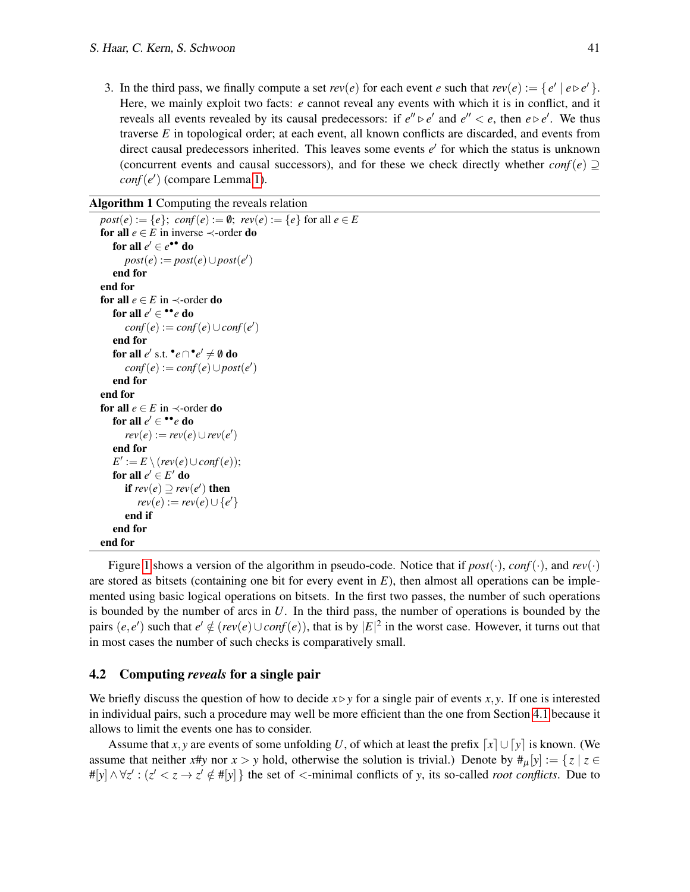3. In the third pass, we finally compute a set  $rev(e)$  for each event *e* such that  $rev(e) := \{e' \mid e \triangleright e'\}.$ Here, we mainly exploit two facts: *e* cannot reveal any events with which it is in conflict, and it reveals all events revealed by its causal predecessors: if  $e'' \triangleright e'$  and  $e'' < e$ , then  $e \triangleright e'$ . We thus traverse *E* in topological order; at each event, all known conflicts are discarded, and events from direct causal predecessors inherited. This leaves some events  $e'$  for which the status is unknown (concurrent events and causal successors), and for these we check directly whether  $conf(e) \supset$ *conf*(*e* ′ ) (compare Lemma [1\)](#page-6-1).

```
Algorithm 1 Computing the reveals relation
```

```
post(e) := \{e\}; conf(e) := \emptyset; rev(e) := \{e\} for all e \in Efor all e \in E in inverse \prec-order do
    for all e' \in e^{\bullet \bullet} do
       post(e) := post(e) \cup post(e')end for
end for
for all e \in E in \prec-order do
    for all e' ∈ **e do
       conf(e) := conf(e) \cup conf(e)end for
    for all e' s.t. ^{\bullet}e \cap ^{\bullet}e' \neq \emptyset do
       conf(e) := conf(e) \cup post(e')end for
end for
for all e \in E in \prec-order do
    for all e' ∈ **e do
       rev(e) := rev(e) \cup rev(e')end for
    E' := E \setminus (rev(e) \cup conf(e));for all e' \in E' do
       if rev(e) \supseteq rev(e') then
           rev(e) := rev(e)∪ {e<sup>'</sup>}
       end if
   end for
```
Figure [1](#page-11-1) shows a version of the algorithm in pseudo-code. Notice that if  $post(\cdot)$ ,  $conf(\cdot)$ , and  $rev(\cdot)$ are stored as bitsets (containing one bit for every event in  $E$ ), then almost all operations can be implemented using basic logical operations on bitsets. In the first two passes, the number of such operations is bounded by the number of arcs in *U*. In the third pass, the number of operations is bounded by the pairs  $(e, e')$  such that  $e' \notin (rev(e) \cup conf(e))$ , that is by  $|E|^2$  in the worst case. However, it turns out that in most cases the number of such checks is comparatively small.

#### <span id="page-11-0"></span>4.2 Computing *reveals* for a single pair

end for

We briefly discuss the question of how to decide  $x \triangleright y$  for a single pair of events *x*, *y*. If one is interested in individual pairs, such a procedure may well be more efficient than the one from Section [4.1](#page-10-1) because it allows to limit the events one has to consider.

Assume that *x*, *y* are events of some unfolding *U*, of which at least the prefix  $\lceil x \rceil \cup \lceil y \rceil$  is known. (We assume that neither *x*#*y* nor  $x > y$  hold, otherwise the solution is trivial.) Denote by  $\#_u[y] := \{z \mid z \in E : |z| \leq 1\}$  $#[y] \wedge \forall z' : (z' < z \rightarrow z' \notin #[y]$ } the set of <-minimal conflicts of *y*, its so-called *root conflicts*. Due to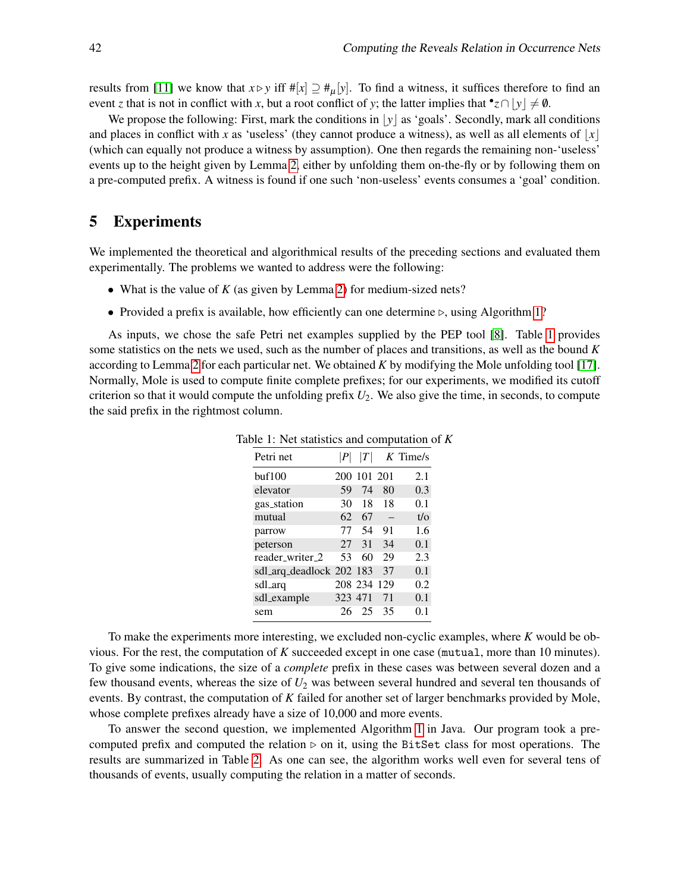results from [\[11\]](#page-14-11) we know that  $x \triangleright y$  iff  $\#[x] \supseteq \#_u[y]$ . To find a witness, it suffices therefore to find an event *z* that is not in conflict with *x*, but a root conflict of *y*; the latter implies that  $\bullet$ *z*  $\cap$   $\lfloor y \rfloor \neq \emptyset$ .

We propose the following: First, mark the conditions in  $|y|$  as 'goals'. Secondly, mark all conditions and places in conflict with *x* as 'useless' (they cannot produce a witness), as well as all elements of  $|x|$ (which can equally not produce a witness by assumption). One then regards the remaining non-'useless' events up to the height given by Lemma [2,](#page-8-3) either by unfolding them on-the-fly or by following them on a pre-computed prefix. A witness is found if one such 'non-useless' events consumes a 'goal' condition.

### <span id="page-12-0"></span>5 Experiments

We implemented the theoretical and algorithmical results of the preceding sections and evaluated them experimentally. The problems we wanted to address were the following:

- What is the value of *K* (as given by Lemma [2\)](#page-8-3) for medium-sized nets?
- Provided a prefix is available, how efficiently can one determine ⊳, using Algorithm [1?](#page-11-1)

<span id="page-12-1"></span>As inputs, we chose the safe Petri net examples supplied by the PEP tool [\[8\]](#page-14-17). Table [1](#page-12-1) provides some statistics on the nets we used, such as the number of places and transitions, as well as the bound *K* according to Lemma [2](#page-8-3) for each particular net. We obtained *K* by modifying the Mole unfolding tool [\[17\]](#page-14-18). Normally, Mole is used to compute finite complete prefixes; for our experiments, we modified its cutoff criterion so that it would compute the unfolding prefix *U*2. We also give the time, in seconds, to compute the said prefix in the rightmost column.

| Petri net                | P       | T           |    | $K$ Time/s |
|--------------------------|---------|-------------|----|------------|
| buf100                   |         | 200 101 201 |    | 2.1        |
| elevator                 | 59      | 74          | 80 | 0.3        |
| gas_station              | 30      | 18          | 18 | 0.1        |
| mutual                   | 62      | 67          |    | $t/\Omega$ |
| parrow                   | 77      | 54          | 91 | 1.6        |
| peterson                 | 27      | 31          | 34 | 0.1        |
| reader_writer_2          | 53      | 60          | 29 | 2.3        |
| sdl_arq_deadlock 202 183 |         |             | 37 | 0.1        |
| sdl_arq                  |         | 208 234 129 |    | 0.2        |
| sdl_example              | 323 471 |             | 71 | 0.1        |
| sem                      | 26      | 25          | 35 | 0.1        |

Table 1: Net statistics and computation of *K*

To make the experiments more interesting, we excluded non-cyclic examples, where *K* would be obvious. For the rest, the computation of *K* succeeded except in one case (mutual, more than 10 minutes). To give some indications, the size of a *complete* prefix in these cases was between several dozen and a few thousand events, whereas the size of *U*<sup>2</sup> was between several hundred and several ten thousands of events. By contrast, the computation of *K* failed for another set of larger benchmarks provided by Mole, whose complete prefixes already have a size of 10,000 and more events.

To answer the second question, we implemented Algorithm [1](#page-11-1) in Java. Our program took a precomputed prefix and computed the relation  $\triangleright$  on it, using the BitSet class for most operations. The results are summarized in Table [2.](#page-13-1) As one can see, the algorithm works well even for several tens of thousands of events, usually computing the relation in a matter of seconds.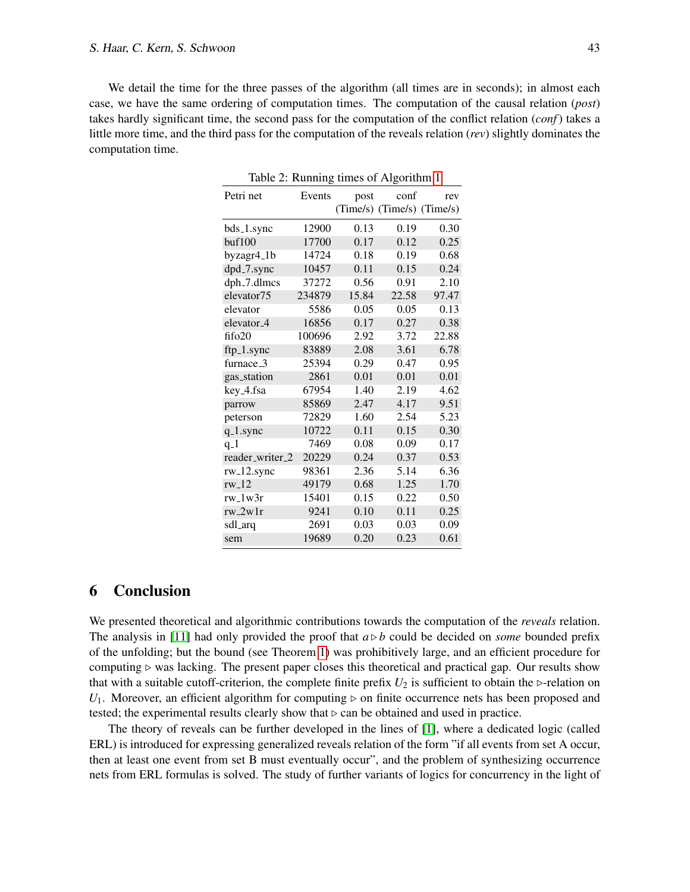<span id="page-13-1"></span>We detail the time for the three passes of the algorithm (all times are in seconds); in almost each case, we have the same ordering of computation times. The computation of the causal relation (*post*) takes hardly significant time, the second pass for the computation of the conflict relation (*conf*) takes a little more time, and the third pass for the computation of the reveals relation (*rev*) slightly dominates the computation time.

| Table 2: Running times of Algorithm 1 |        |       |                            |       |  |  |  |
|---------------------------------------|--------|-------|----------------------------|-------|--|--|--|
| Petri net                             | Events | post  | conf                       | rev   |  |  |  |
|                                       |        |       | (Time/s) (Time/s) (Time/s) |       |  |  |  |
| bds_1.sync                            | 12900  | 0.13  | 0.19                       | 0.30  |  |  |  |
| buf100                                | 17700  | 0.17  | 0.12                       | 0.25  |  |  |  |
| byzagr4 <sub>-1</sub> b               | 14724  | 0.18  | 0.19                       | 0.68  |  |  |  |
| dpd_7.sync                            | 10457  | 0.11  | 0.15                       | 0.24  |  |  |  |
| dph <sub>-7</sub> .dlmcs              | 37272  | 0.56  | 0.91                       | 2.10  |  |  |  |
| elevator75                            | 234879 | 15.84 | 22.58                      | 97.47 |  |  |  |
| elevator                              | 5586   | 0.05  | 0.05                       | 0.13  |  |  |  |
| elevator <sub>-4</sub>                | 16856  | 0.17  | 0.27                       | 0.38  |  |  |  |
| fifo20                                | 100696 | 2.92  | 3.72                       | 22.88 |  |  |  |
| ftp_1.sync                            | 83889  | 2.08  | 3.61                       | 6.78  |  |  |  |
| furnace_3                             | 25394  | 0.29  | 0.47                       | 0.95  |  |  |  |
| gas_station                           | 2861   | 0.01  | 0.01                       | 0.01  |  |  |  |
| key_4.fsa                             | 67954  | 1.40  | 2.19                       | 4.62  |  |  |  |
| parrow                                | 85869  | 2.47  | 4.17                       | 9.51  |  |  |  |
| peterson                              | 72829  | 1.60  | 2.54                       | 5.23  |  |  |  |
| $q_{-}1$ .sync                        | 10722  | 0.11  | 0.15                       | 0.30  |  |  |  |
| $q_1$                                 | 7469   | 0.08  | 0.09                       | 0.17  |  |  |  |
| reader_writer_2                       | 20229  | 0.24  | 0.37                       | 0.53  |  |  |  |
| rw_12.sync                            | 98361  | 2.36  | 5.14                       | 6.36  |  |  |  |
| $rw_12$                               | 49179  | 0.68  | 1.25                       | 1.70  |  |  |  |
| $rw_1/w3r$                            | 15401  | 0.15  | 0.22                       | 0.50  |  |  |  |
| $rw_2w1r$                             | 9241   | 0.10  | 0.11                       | 0.25  |  |  |  |
| sdl_arq                               | 2691   | 0.03  | 0.03                       | 0.09  |  |  |  |
| sem                                   | 19689  | 0.20  | 0.23                       | 0.61  |  |  |  |

### <span id="page-13-0"></span>6 Conclusion

We presented theoretical and algorithmic contributions towards the computation of the *reveals* relation. The analysis in [\[11\]](#page-14-11) had only provided the proof that  $a \triangleright b$  could be decided on *some* bounded prefix of the unfolding; but the bound (see Theorem [1\)](#page-7-2) was prohibitively large, and an efficient procedure for computing  $\triangleright$  was lacking. The present paper closes this theoretical and practical gap. Our results show that with a suitable cutoff-criterion, the complete finite prefix  $U_2$  is sufficient to obtain the ⊳-relation on *U*<sub>1</sub>. Moreover, an efficient algorithm for computing ⊳ on finite occurrence nets has been proposed and tested; the experimental results clearly show that  $\triangleright$  can be obtained and used in practice.

The theory of reveals can be further developed in the lines of [\[1\]](#page-14-12), where a dedicated logic (called ERL) is introduced for expressing generalized reveals relation of the form "if all events from set A occur, then at least one event from set B must eventually occur", and the problem of synthesizing occurrence nets from ERL formulas is solved. The study of further variants of logics for concurrency in the light of